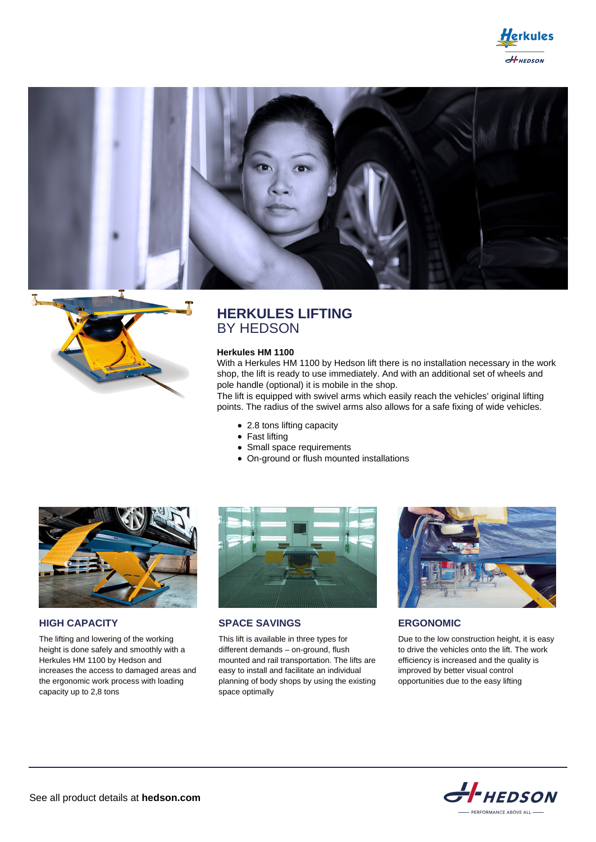





# **HERKULES LIFTING** BY HEDSON

### **Herkules HM 1100**

With a Herkules HM 1100 by Hedson lift there is no installation necessary in the work shop, the lift is ready to use immediately. And with an additional set of wheels and pole handle (optional) it is mobile in the shop.

The lift is equipped with swivel arms which easily reach the vehicles' original lifting points. The radius of the swivel arms also allows for a safe fixing of wide vehicles.

- 2.8 tons lifting capacity
- Fast lifting
- Small space requirements
- On-ground or flush mounted installations



**HIGH CAPACITY**

The lifting and lowering of the working height is done safely and smoothly with a Herkules HM 1100 by Hedson and increases the access to damaged areas and the ergonomic work process with loading capacity up to 2,8 tons



**SPACE SAVINGS**

This lift is available in three types for different demands – on-ground, flush mounted and rail transportation. The lifts are easy to install and facilitate an individual planning of body shops by using the existing space optimally



**ERGONOMIC**

Due to the low construction height, it is easy to drive the vehicles onto the lift. The work efficiency is increased and the quality is improved by better visual control opportunities due to the easy lifting